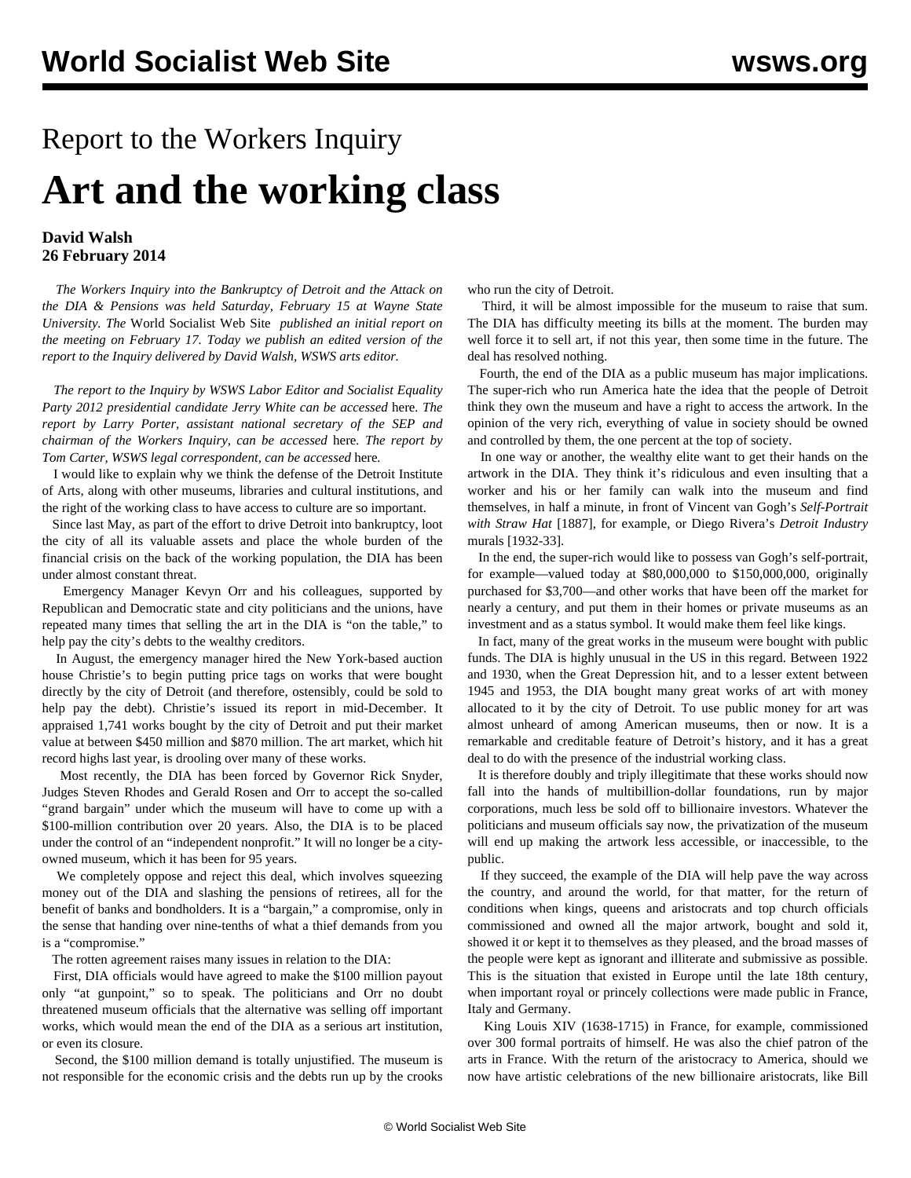## Report to the Workers Inquiry **Art and the working class**

## **David Walsh 26 February 2014**

 *The Workers Inquiry into the Bankruptcy of Detroit and the Attack on the DIA & Pensions was held Saturday, February 15 at Wayne State University. The* World Socialist Web Site *published an initial report on the meeting on February 17. Today we publish an edited version of the report to the Inquiry delivered by David Walsh, WSWS arts editor.*

 *The report to the Inquiry by WSWS Labor Editor and Socialist Equality Party 2012 presidential candidate Jerry White can be accessed* [here](/en/articles/2014/02/19/jerr-f19.html)*. The report by Larry Porter, assistant national secretary of the SEP and chairman of the Workers Inquiry, can be accessed* [here](/en/articles/2014/02/21/larr-f21.html)*. The report by Tom Carter, WSWS legal correspondent, can be accessed* [here](/en/articles/2014/02/24/cart-f24.html)*.* 

 I would like to explain why we think the defense of the Detroit Institute of Arts, along with other museums, libraries and cultural institutions, and the right of the working class to have access to culture are so important.

 Since last May, as part of the effort to drive Detroit into bankruptcy, loot the city of all its valuable assets and place the whole burden of the financial crisis on the back of the working population, the DIA has been under almost constant threat.

 Emergency Manager Kevyn Orr and his colleagues, supported by Republican and Democratic state and city politicians and the unions, have repeated many times that selling the art in the DIA is "on the table," to help pay the city's debts to the wealthy creditors.

 In August, the emergency manager hired the New York-based auction house Christie's to begin putting price tags on works that were bought directly by the city of Detroit (and therefore, ostensibly, could be sold to help pay the debt). Christie's issued its report in mid-December. It appraised 1,741 works bought by the city of Detroit and put their market value at between \$450 million and \$870 million. The art market, which hit record highs last year, is drooling over many of these works.

 Most recently, the DIA has been forced by Governor Rick Snyder, Judges Steven Rhodes and Gerald Rosen and Orr to accept the so-called "grand bargain" under which the museum will have to come up with a \$100-million contribution over 20 years. Also, the DIA is to be placed under the control of an "independent nonprofit." It will no longer be a cityowned museum, which it has been for 95 years.

 We completely oppose and reject this deal, which involves squeezing money out of the DIA and slashing the pensions of retirees, all for the benefit of banks and bondholders. It is a "bargain," a compromise, only in the sense that handing over nine-tenths of what a thief demands from you is a "compromise."

The rotten agreement raises many issues in relation to the DIA:

 First, DIA officials would have agreed to make the \$100 million payout only "at gunpoint," so to speak. The politicians and Orr no doubt threatened museum officials that the alternative was selling off important works, which would mean the end of the DIA as a serious art institution, or even its closure.

 Second, the \$100 million demand is totally unjustified. The museum is not responsible for the economic crisis and the debts run up by the crooks

who run the city of Detroit.

 Third, it will be almost impossible for the museum to raise that sum. The DIA has difficulty meeting its bills at the moment. The burden may well force it to sell art, if not this year, then some time in the future. The deal has resolved nothing.

 Fourth, the end of the DIA as a public museum has major implications. The super-rich who run America hate the idea that the people of Detroit think they own the museum and have a right to access the artwork. In the opinion of the very rich, everything of value in society should be owned and controlled by them, the one percent at the top of society.

 In one way or another, the wealthy elite want to get their hands on the artwork in the DIA. They think it's ridiculous and even insulting that a worker and his or her family can walk into the museum and find themselves, in half a minute, in front of Vincent van Gogh's *Self-Portrait with Straw Hat* [1887], for example, or Diego Rivera's *Detroit Industry* murals [1932-33].

 In the end, the super-rich would like to possess van Gogh's self-portrait, for example—valued today at \$80,000,000 to \$150,000,000, originally purchased for \$3,700—and other works that have been off the market for nearly a century, and put them in their homes or private museums as an investment and as a status symbol. It would make them feel like kings.

 In fact, many of the great works in the museum were bought with public funds. The DIA is highly unusual in the US in this regard. Between 1922 and 1930, when the Great Depression hit, and to a lesser extent between 1945 and 1953, the DIA bought many great works of art with money allocated to it by the city of Detroit. To use public money for art was almost unheard of among American museums, then or now. It is a remarkable and creditable feature of Detroit's history, and it has a great deal to do with the presence of the industrial working class.

 It is therefore doubly and triply illegitimate that these works should now fall into the hands of multibillion-dollar foundations, run by major corporations, much less be sold off to billionaire investors. Whatever the politicians and museum officials say now, the privatization of the museum will end up making the artwork less accessible, or inaccessible, to the public.

 If they succeed, the example of the DIA will help pave the way across the country, and around the world, for that matter, for the return of conditions when kings, queens and aristocrats and top church officials commissioned and owned all the major artwork, bought and sold it, showed it or kept it to themselves as they pleased, and the broad masses of the people were kept as ignorant and illiterate and submissive as possible. This is the situation that existed in Europe until the late 18th century, when important royal or princely collections were made public in France, Italy and Germany.

 King Louis XIV (1638-1715) in France, for example, commissioned over 300 formal portraits of himself. He was also the chief patron of the arts in France. With the return of the aristocracy to America, should we now have artistic celebrations of the new billionaire aristocrats, like Bill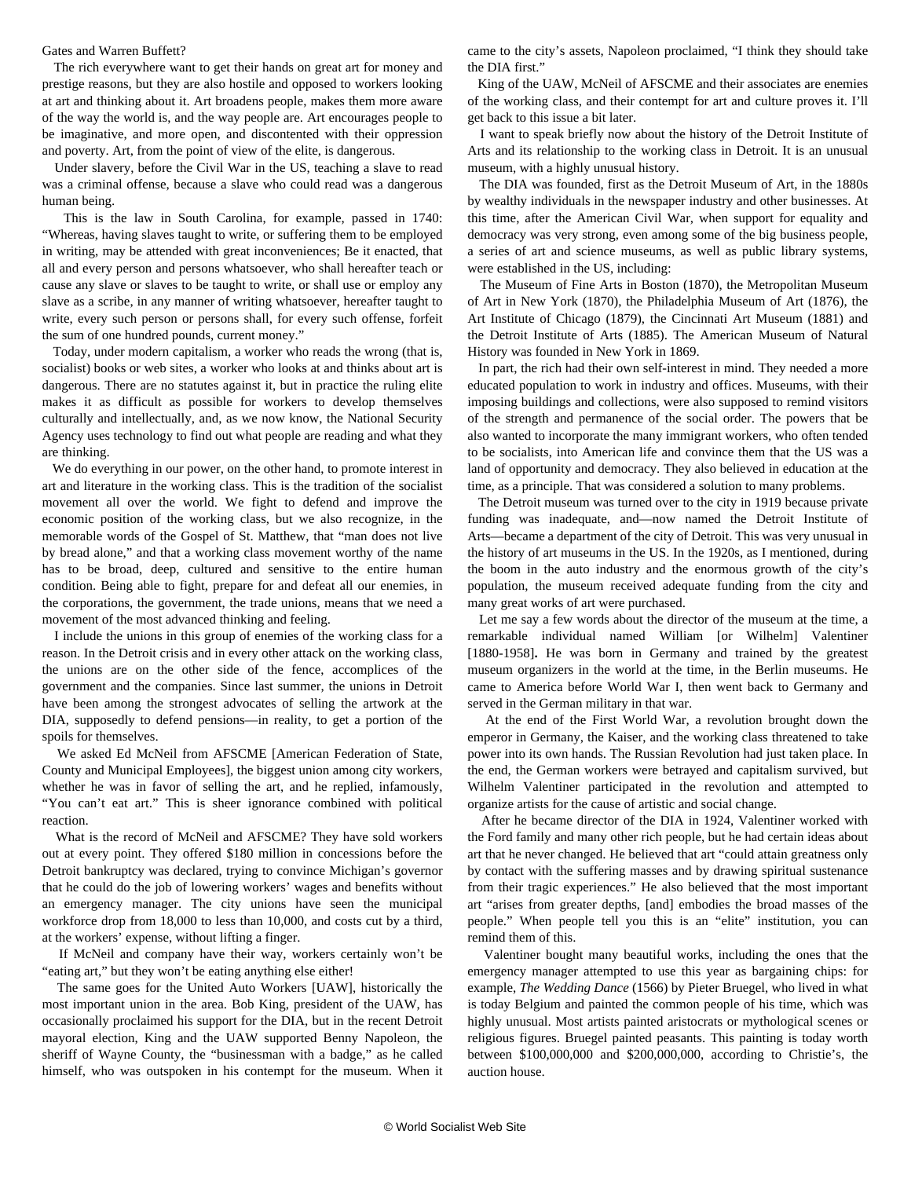## Gates and Warren Buffett?

 The rich everywhere want to get their hands on great art for money and prestige reasons, but they are also hostile and opposed to workers looking at art and thinking about it. Art broadens people, makes them more aware of the way the world is, and the way people are. Art encourages people to be imaginative, and more open, and discontented with their oppression and poverty. Art, from the point of view of the elite, is dangerous.

 Under slavery, before the Civil War in the US, teaching a slave to read was a criminal offense, because a slave who could read was a dangerous human being.

 This is the law in South Carolina, for example, passed in 1740: "Whereas, having slaves taught to write, or suffering them to be employed in writing, may be attended with great inconveniences; Be it enacted, that all and every person and persons whatsoever, who shall hereafter teach or cause any slave or slaves to be taught to write, or shall use or employ any slave as a scribe, in any manner of writing whatsoever, hereafter taught to write, every such person or persons shall, for every such offense, forfeit the sum of one hundred pounds, current money."

 Today, under modern capitalism, a worker who reads the wrong (that is, socialist) books or web sites, a worker who looks at and thinks about art is dangerous. There are no statutes against it, but in practice the ruling elite makes it as difficult as possible for workers to develop themselves culturally and intellectually, and, as we now know, the National Security Agency uses technology to find out what people are reading and what they are thinking.

 We do everything in our power, on the other hand, to promote interest in art and literature in the working class. This is the tradition of the socialist movement all over the world. We fight to defend and improve the economic position of the working class, but we also recognize, in the memorable words of the Gospel of St. Matthew, that "man does not live by bread alone," and that a working class movement worthy of the name has to be broad, deep, cultured and sensitive to the entire human condition. Being able to fight, prepare for and defeat all our enemies, in the corporations, the government, the trade unions, means that we need a movement of the most advanced thinking and feeling.

 I include the unions in this group of enemies of the working class for a reason. In the Detroit crisis and in every other attack on the working class, the unions are on the other side of the fence, accomplices of the government and the companies. Since last summer, the unions in Detroit have been among the strongest advocates of selling the artwork at the DIA, supposedly to defend pensions—in reality, to get a portion of the spoils for themselves.

 We asked Ed McNeil from AFSCME [American Federation of State, County and Municipal Employees], the biggest union among city workers, whether he was in favor of selling the art, and he replied, infamously, "You can't eat art." This is sheer ignorance combined with political reaction.

 What is the record of McNeil and AFSCME? They have sold workers out at every point. They offered \$180 million in concessions before the Detroit bankruptcy was declared, trying to convince Michigan's governor that he could do the job of lowering workers' wages and benefits without an emergency manager. The city unions have seen the municipal workforce drop from 18,000 to less than 10,000, and costs cut by a third, at the workers' expense, without lifting a finger.

 If McNeil and company have their way, workers certainly won't be "eating art," but they won't be eating anything else either!

 The same goes for the United Auto Workers [UAW], historically the most important union in the area. Bob King, president of the UAW, has occasionally proclaimed his support for the DIA, but in the recent Detroit mayoral election, King and the UAW supported Benny Napoleon, the sheriff of Wayne County, the "businessman with a badge," as he called himself, who was outspoken in his contempt for the museum. When it came to the city's assets, Napoleon proclaimed, "I think they should take the DIA first."

 King of the UAW, McNeil of AFSCME and their associates are enemies of the working class, and their contempt for art and culture proves it. I'll get back to this issue a bit later.

 I want to speak briefly now about the history of the Detroit Institute of Arts and its relationship to the working class in Detroit. It is an unusual museum, with a highly unusual history.

 The DIA was founded, first as the Detroit Museum of Art, in the 1880s by wealthy individuals in the newspaper industry and other businesses. At this time, after the American Civil War, when support for equality and democracy was very strong, even among some of the big business people, a series of art and science museums, as well as public library systems, were established in the US, including:

 The Museum of Fine Arts in Boston (1870), the Metropolitan Museum of Art in New York (1870), the Philadelphia Museum of Art (1876), the Art Institute of Chicago (1879), the Cincinnati Art Museum (1881) and the Detroit Institute of Arts (1885). The American Museum of Natural History was founded in New York in 1869.

 In part, the rich had their own self-interest in mind. They needed a more educated population to work in industry and offices. Museums, with their imposing buildings and collections, were also supposed to remind visitors of the strength and permanence of the social order. The powers that be also wanted to incorporate the many immigrant workers, who often tended to be socialists, into American life and convince them that the US was a land of opportunity and democracy. They also believed in education at the time, as a principle. That was considered a solution to many problems.

 The Detroit museum was turned over to the city in 1919 because private funding was inadequate, and—now named the Detroit Institute of Arts—became a department of the city of Detroit. This was very unusual in the history of art museums in the US. In the 1920s, as I mentioned, during the boom in the auto industry and the enormous growth of the city's population, the museum received adequate funding from the city and many great works of art were purchased.

 Let me say a few words about the director of the museum at the time, a remarkable individual named William [or Wilhelm] Valentiner [1880-1958]**.** He was born in Germany and trained by the greatest museum organizers in the world at the time, in the Berlin museums. He came to America before World War I, then went back to Germany and served in the German military in that war.

 At the end of the First World War, a revolution brought down the emperor in Germany, the Kaiser, and the working class threatened to take power into its own hands. The Russian Revolution had just taken place. In the end, the German workers were betrayed and capitalism survived, but Wilhelm Valentiner participated in the revolution and attempted to organize artists for the cause of artistic and social change.

 After he became director of the DIA in 1924, Valentiner worked with the Ford family and many other rich people, but he had certain ideas about art that he never changed. He believed that art "could attain greatness only by contact with the suffering masses and by drawing spiritual sustenance from their tragic experiences." He also believed that the most important art "arises from greater depths, [and] embodies the broad masses of the people." When people tell you this is an "elite" institution, you can remind them of this.

 Valentiner bought many beautiful works, including the ones that the emergency manager attempted to use this year as bargaining chips: for example, *The Wedding Dance* (1566) by Pieter Bruegel, who lived in what is today Belgium and painted the common people of his time, which was highly unusual. Most artists painted aristocrats or mythological scenes or religious figures. Bruegel painted peasants. This painting is today worth between \$100,000,000 and \$200,000,000, according to Christie's, the auction house.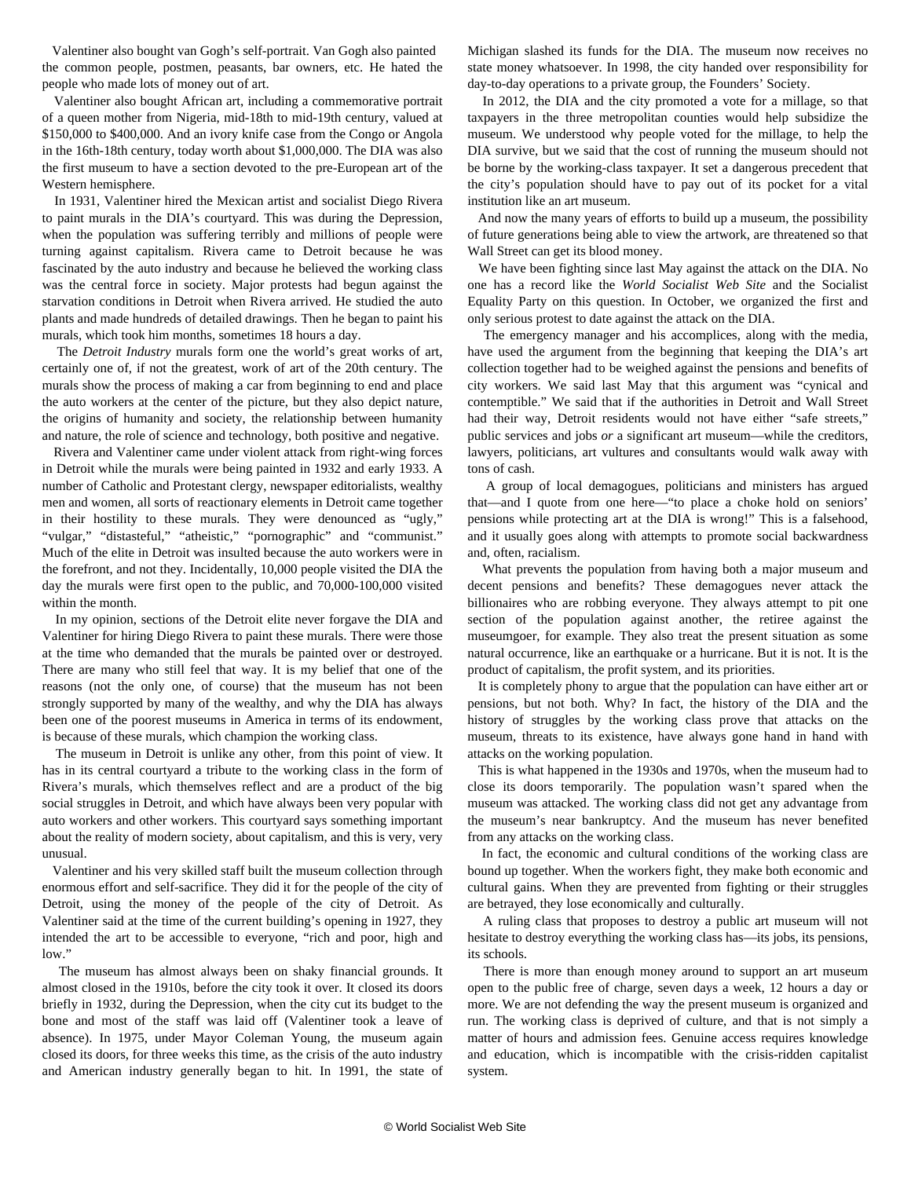Valentiner also bought van Gogh's self-portrait. Van Gogh also painted the common people, postmen, peasants, bar owners, etc. He hated the people who made lots of money out of art.

 Valentiner also bought African art, including a commemorative portrait of a queen mother from Nigeria, mid-18th to mid-19th century, valued at \$150,000 to \$400,000. And an ivory knife case from the Congo or Angola in the 16th-18th century, today worth about \$1,000,000. The DIA was also the first museum to have a section devoted to the pre-European art of the Western hemisphere.

 In 1931, Valentiner hired the Mexican artist and socialist Diego Rivera to paint murals in the DIA's courtyard. This was during the Depression, when the population was suffering terribly and millions of people were turning against capitalism. Rivera came to Detroit because he was fascinated by the auto industry and because he believed the working class was the central force in society. Major protests had begun against the starvation conditions in Detroit when Rivera arrived. He studied the auto plants and made hundreds of detailed drawings. Then he began to paint his murals, which took him months, sometimes 18 hours a day.

 The *Detroit Industry* murals form one the world's great works of art, certainly one of, if not the greatest, work of art of the 20th century. The murals show the process of making a car from beginning to end and place the auto workers at the center of the picture, but they also depict nature, the origins of humanity and society, the relationship between humanity and nature, the role of science and technology, both positive and negative.

 Rivera and Valentiner came under violent attack from right-wing forces in Detroit while the murals were being painted in 1932 and early 1933. A number of Catholic and Protestant clergy, newspaper editorialists, wealthy men and women, all sorts of reactionary elements in Detroit came together in their hostility to these murals. They were denounced as "ugly," "vulgar," "distasteful," "atheistic," "pornographic" and "communist." Much of the elite in Detroit was insulted because the auto workers were in the forefront, and not they. Incidentally, 10,000 people visited the DIA the day the murals were first open to the public, and 70,000-100,000 visited within the month.

 In my opinion, sections of the Detroit elite never forgave the DIA and Valentiner for hiring Diego Rivera to paint these murals. There were those at the time who demanded that the murals be painted over or destroyed. There are many who still feel that way. It is my belief that one of the reasons (not the only one, of course) that the museum has not been strongly supported by many of the wealthy, and why the DIA has always been one of the poorest museums in America in terms of its endowment, is because of these murals, which champion the working class.

 The museum in Detroit is unlike any other, from this point of view. It has in its central courtyard a tribute to the working class in the form of Rivera's murals, which themselves reflect and are a product of the big social struggles in Detroit, and which have always been very popular with auto workers and other workers. This courtyard says something important about the reality of modern society, about capitalism, and this is very, very unusual.

 Valentiner and his very skilled staff built the museum collection through enormous effort and self-sacrifice. They did it for the people of the city of Detroit, using the money of the people of the city of Detroit. As Valentiner said at the time of the current building's opening in 1927, they intended the art to be accessible to everyone, "rich and poor, high and low."

 The museum has almost always been on shaky financial grounds. It almost closed in the 1910s, before the city took it over. It closed its doors briefly in 1932, during the Depression, when the city cut its budget to the bone and most of the staff was laid off (Valentiner took a leave of absence). In 1975, under Mayor Coleman Young, the museum again closed its doors, for three weeks this time, as the crisis of the auto industry and American industry generally began to hit. In 1991, the state of Michigan slashed its funds for the DIA. The museum now receives no state money whatsoever. In 1998, the city handed over responsibility for day-to-day operations to a private group, the Founders' Society.

 In 2012, the DIA and the city promoted a vote for a millage, so that taxpayers in the three metropolitan counties would help subsidize the museum. We understood why people voted for the millage, to help the DIA survive, but we said that the cost of running the museum should not be borne by the working-class taxpayer. It set a dangerous precedent that the city's population should have to pay out of its pocket for a vital institution like an art museum.

 And now the many years of efforts to build up a museum, the possibility of future generations being able to view the artwork, are threatened so that Wall Street can get its blood money.

 We have been fighting since last May against the attack on the DIA. No one has a record like the *World Socialist Web Site* and the Socialist Equality Party on this question. In October, we organized the first and only serious protest to date against the attack on the DIA.

 The emergency manager and his accomplices, along with the media, have used the argument from the beginning that keeping the DIA's art collection together had to be weighed against the pensions and benefits of city workers. We said last May that this argument was "cynical and contemptible." We said that if the authorities in Detroit and Wall Street had their way, Detroit residents would not have either "safe streets," public services and jobs *or* a significant art museum—while the creditors, lawyers, politicians, art vultures and consultants would walk away with tons of cash.

 A group of local demagogues, politicians and ministers has argued that—and I quote from one here—"to place a choke hold on seniors' pensions while protecting art at the DIA is wrong!" This is a falsehood, and it usually goes along with attempts to promote social backwardness and, often, racialism.

 What prevents the population from having both a major museum and decent pensions and benefits? These demagogues never attack the billionaires who are robbing everyone. They always attempt to pit one section of the population against another, the retiree against the museumgoer, for example. They also treat the present situation as some natural occurrence, like an earthquake or a hurricane. But it is not. It is the product of capitalism, the profit system, and its priorities.

 It is completely phony to argue that the population can have either art or pensions, but not both. Why? In fact, the history of the DIA and the history of struggles by the working class prove that attacks on the museum, threats to its existence, have always gone hand in hand with attacks on the working population.

 This is what happened in the 1930s and 1970s, when the museum had to close its doors temporarily. The population wasn't spared when the museum was attacked. The working class did not get any advantage from the museum's near bankruptcy. And the museum has never benefited from any attacks on the working class.

 In fact, the economic and cultural conditions of the working class are bound up together. When the workers fight, they make both economic and cultural gains. When they are prevented from fighting or their struggles are betrayed, they lose economically and culturally.

 A ruling class that proposes to destroy a public art museum will not hesitate to destroy everything the working class has—its jobs, its pensions, its schools.

 There is more than enough money around to support an art museum open to the public free of charge, seven days a week, 12 hours a day or more. We are not defending the way the present museum is organized and run. The working class is deprived of culture, and that is not simply a matter of hours and admission fees. Genuine access requires knowledge and education, which is incompatible with the crisis-ridden capitalist system.